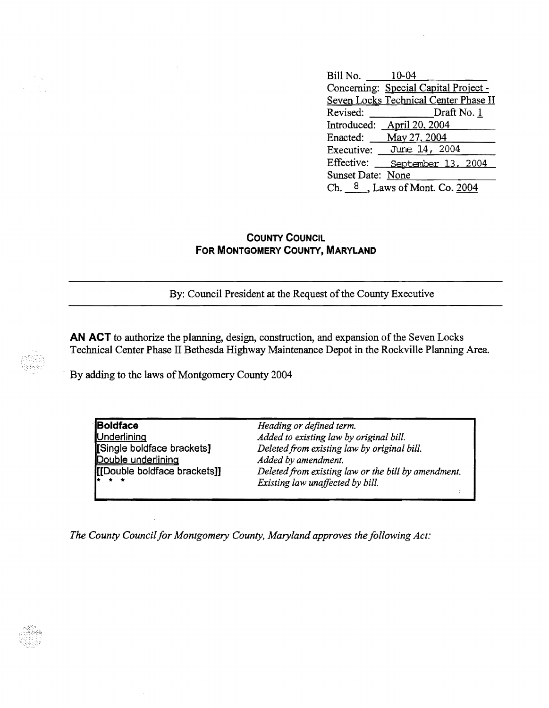Bill No. 10-04 Concerning: Special Capital Project -Seven Locks Technical Center Phase II Revised: Draft No. 1 Introduced: April 20, 2004 Enacted: May 27.2004 Executive: Jure 14, 2004 Effective: <u>September 13, 2004</u><br>Sunset Date: <u>None</u> Ch.  $8$ , Laws of Mont. Co. 2004

## **COUNTY COUNCIL FOR MONTGOMERY COUNTY, MARYLAND**

By: Council President at the Request of the County Executive

AN ACT to authorize the planning, design, construction, and expansion of the Seven Locks Technical Center Phase II Bethesda Highway Maintenance Depot in the Rockville Planning Area .

By adding to the laws of Montgomery County 2004

**Boldface** *Heading or defined term.* IDouble underlinina *Added by amendment.* \* \* \* *Existing law unaffected by bill.* 

a sing

Underlining<br> **I** Added to existing law by original bill.<br> **Peleted from existing law by original** Deleted from existing law by original bill. [[Double boldface brackets]] *Deleted from existing law or the bill by amendment.* 

*The County Council for Montgomery County, Maryland approves the following Act:*